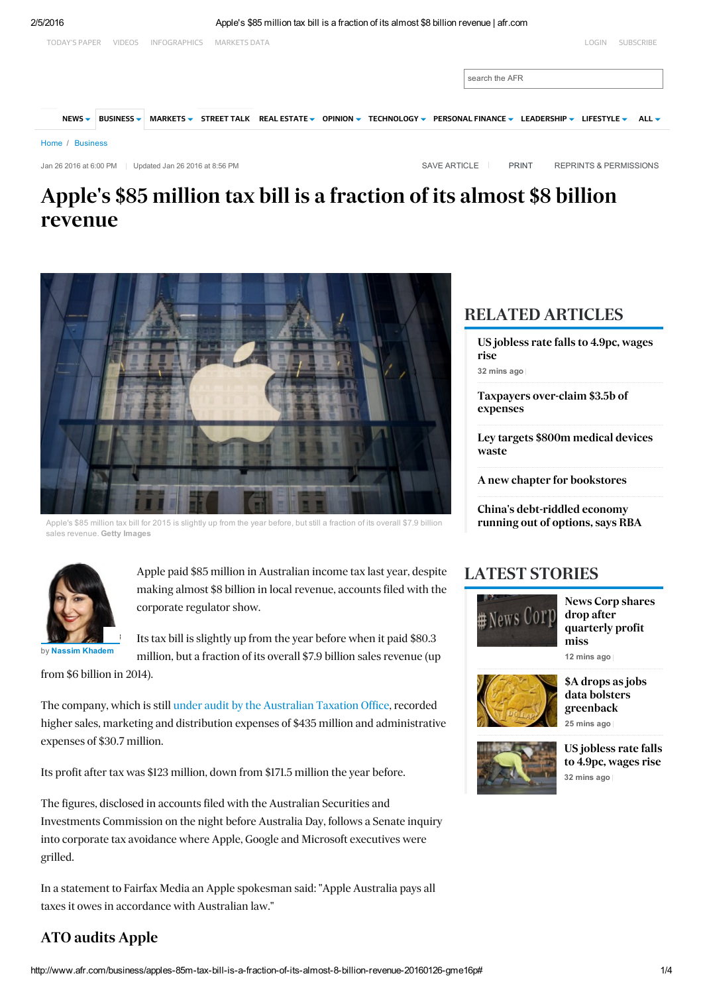

# <span id="page-0-1"></span><span id="page-0-0"></span>Apple's \$85 million tax bill is a fraction of its almost \$8 billion revenue



Apple's \$85 million tax bill for 2015 is slightly up from the year before, but still a fraction of its overall \$7.9 billion sales revenue. Getty Images



Apple paid \$85 million in Australian income tax last year, despite making almost \$8 billion in local revenue, accounts filed with the corporate regulator show.

by Nassim [Khadem](http://www.afr.com/business/nassim-khadem-1m8urh.html)

Its tax bill is slightly up from the year before when it paid \$80.3 million, but a fraction of its overall \$7.9 billion sales revenue (up

from \$6 billion in 2014).

The company, which is still under audit by the [Australian](http://www.smh.com.au/business/the-economy/apple-google-microsoft-cop-tax-audit-20150408-1mgsma.html) Taxation Office, recorded higher sales, marketing and distribution expenses of \$435 million and administrative expenses of \$30.7 million.

Its profit after tax was \$123 million, down from \$171.5 million the year before.

The figures, disclosed in accounts filed with the Australian Securities and Investments Commission on the night before Australia Day, follows a Senate inquiry into corporate tax avoidance where Apple, Google and Microsoft executives were grilled.

In a statement to Fairfax Media an Apple spokesman said: "Apple Australia pays all taxes it owes in accordance with Australian law."

## ATO audits Apple

## RELATED ARTICLES

32 mins ago US [jobless](http://www.afr.com/news/world/us-jobless-rate-falls-to-49pc-wages-rise-20160205-gmn7v3) rate falls to 4.9pc, wages rise

Taxpayers [over-claim](http://www.afr.com/news/policy/tax/ato-has-lost-control-of-dodgy-tax-deductions-says-former-official-20160205-gmmjnm) \$3.5b of expenses

Ley targets \$800m [medical](http://www.afr.com/business/health/health-minister-sussan-ley-targets-800m-medical-devices-waste-20160204-gmmaf3) devices waste

A new chapter for [bookstores](http://www.afr.com/business/bookstores-fighting-back-as-print-prevails-over-ebooks-20160203-gmkhqc)

China's [debt-riddled](http://www.afr.com/news/economy/monetary-policy/chinas-debtriddled-economy-running-out-of-options-says-rba-20160205-gmmp93) economy running out of options, says RBA

## LATEST STORIES



News Corp shares drop after [quarterly](http://www.afr.com/business/media-and-marketing/publishing/news-corp-shares-drop-after-quarterly-profit-miss-20160205-gmn7x9) profit miss

12 mins ago



25 mins ago \$A drops as jobs data bolsters [greenback](http://www.afr.com/markets/a-drops-as-jobs-data-bolsters-greenback-20160205-gmn7te)



32 mins ago US [jobless](http://www.afr.com/news/world/us-jobless-rate-falls-to-49pc-wages-rise-20160205-gmn7v3) rate falls to 4.9pc, wages rise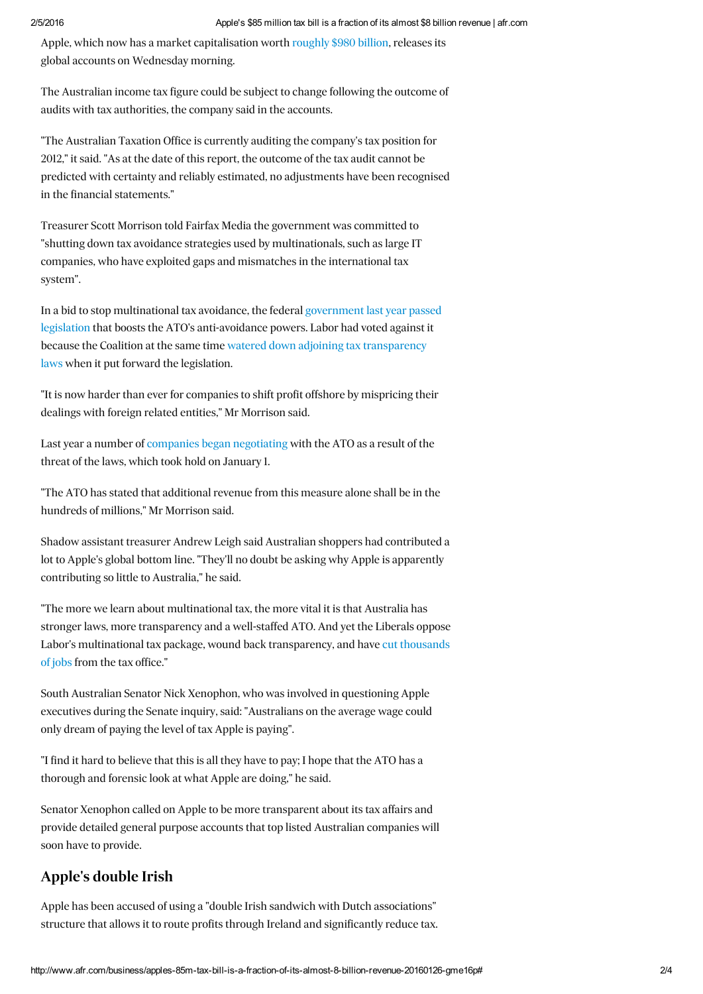Apple, which now has a market capitalisation worth [roughly](http://www.smh.com.au/business/the-economy/apples-revenue-bite-could-soon-be-bigger-than-australia-20150428-1muxuw.html) \$980 billion, releases its global accounts on Wednesday morning.

The Australian income tax figure could be subject to change following the outcome of audits with tax authorities, the company said in the accounts.

"The Australian Taxation Office is currently auditing the company's tax position for 2012," it said. "As at the date of this report, the outcome of the tax audit cannot be predicted with certainty and reliably estimated, no adjustments have been recognised in the financial statements."

Treasurer Scott Morrison told Fairfax Media the government was committed to "shutting down tax avoidance strategies used by multinationals, such as large IT companies, who have exploited gaps and mismatches in the international tax system".

In a bid to stop multinational tax avoidance, the federal government last year passed legislation that boosts the ATO's [anti-avoidance](http://www.smh.com.au/business/the-economy/joe-hockeys-multinational-crackdown-is-bad-tax-law-that-will-spark-global-revenue-wars-say-experts-20150916-gjnsds.html) powers. Labor had voted against it because the Coalition at the same time watered down adjoining tax [transparency](http://www.smh.com.au/federal-politics/political-news/labor-hits-out-as-scott-morrison-lauds-corporate-tax-avoidance-deal-with-greens-20151203-gletuc.html) laws when it put forward the legislation.

"It is now harder than ever for companies to shift profit offshore by mispricing their dealings with foreign related entities," Mr Morrison said.

Last year a number of companies began [negotiating](http://www.smh.com.au/business/the-economy/tax-commissioner-chris-jordan-says-tougher-laws-forcing-multinationals-to-play-ball-20151118-gl1twv.html) with the ATO as a result of the threat of the laws, which took hold on January 1.

"The ATO has stated that additional revenue from this measure alone shall be in the hundreds of millions," Mr Morrison said.

Shadow assistant treasurer Andrew Leigh said Australian shoppers had contributed a lot to Apple's global bottom line. "They'll no doubt be asking why Apple is apparently contributing so little to Australia," he said.

"The more we learn about multinational tax, the more vital it is that Australia has stronger laws, more transparency and a well-staffed ATO. And yet the Liberals oppose Labor's multinational tax package, wound back [transparency,](http://www.smh.com.au/business/blood-letting-at-tax-office-takes-hold-20141229-12f2kc.html) and have cut thousands of jobs from the tax office."

South Australian Senator Nick Xenophon, who was involved in questioning Apple executives during the Senate inquiry, said: "Australians on the average wage could only dream of paying the level of tax Apple is paying".

"I find it hard to believe that this is all they have to pay; I hope that the ATO has a thorough and forensic look at what Apple are doing," he said.

Senator Xenophon called on Apple to be more transparent about its tax affairs and provide detailed general purpose accounts that top listed Australian companies will soon have to provide.

## Apple's double Irish

Apple has been accused of using a "double Irish sandwich with Dutch associations" structure that allows it to route profits through Ireland and significantly reduce tax.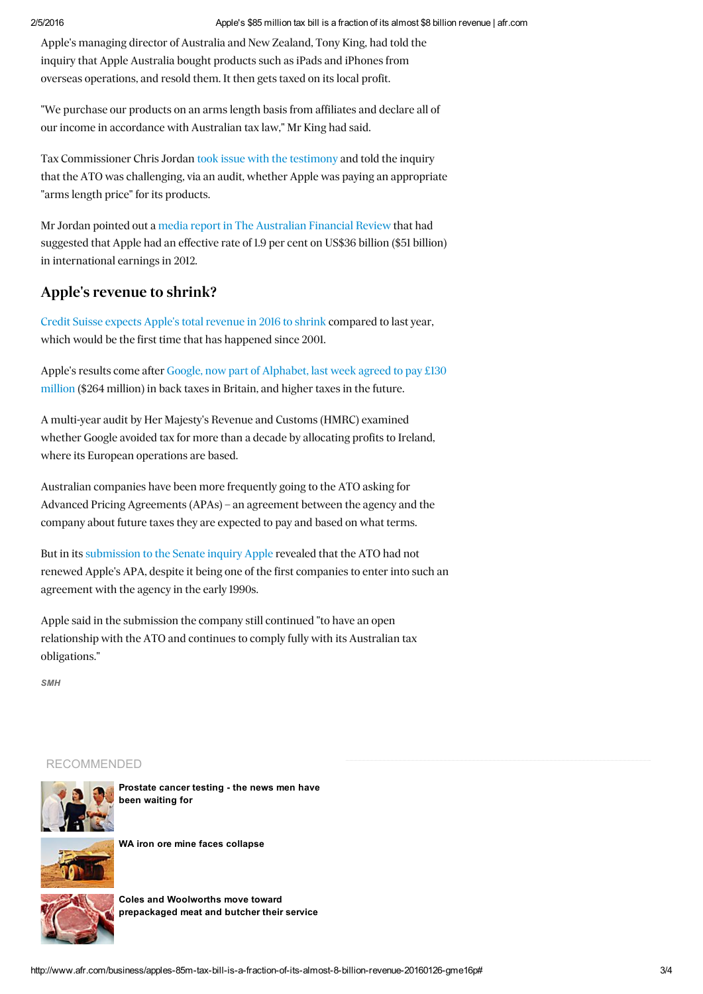Apple's managing director of Australia and New Zealand, Tony King, had told the inquiry that Apple Australia bought products such as iPads and iPhones from overseas operations, and resold them. It then gets taxed on its local profit.

"We purchase our products on an arms length basis from affiliates and declare all of our income in accordance with Australian tax law," Mr King had said.

Tax Commissioner Chris Jordan took issue with the [testimony](http://www.smh.com.au/business/ato-chief-chris-jordan-fires-back-at-multinationals-on-their-evidence-to-corporate-tax-inquiry-20150421-1mqd4q.html) and told the inquiry that the ATO was challenging, via an audit, whether Apple was paying an appropriate "arms length price" for its products.

Mr Jordan pointed out a media report in The [Australian](http://www.afr.com/news/politics/national/how-ireland-got-apples-9bn-profit-20140305-j7cxm) Financial Review that had suggested that Apple had an effective rate of 1.9 per cent on US\$36 billion (\$51 billion) in international earnings in 2012.

## Apple's revenue to shrink?

Credit Suisse expects Apple's total [revenue](http://www.smh.com.au/business/comment-and-analysis/apple-earnings-have-iphone-sales-peaked-20160125-gmddrl) in 2016 to shrink compared to last year, which would be the first time that has happened since 2001.

Apple's results come after Google, now part of [Alphabet,](http://www.smh.com.au/business/world-business/google-to-pay-back-taxes-in-uk-reports-20160122-gmcgzh.html) last week agreed to pay £130 million (\$264 million) in back taxes in Britain, and higher taxes in the future.

A multi-year audit by Her Majesty's Revenue and Customs (HMRC) examined whether Google avoided tax for more than a decade by allocating profits to Ireland, where its European operations are based.

Australian companies have been more frequently going to the ATO asking for Advanced Pricing Agreements (APAs) – an agreement between the agency and the company about future taxes they are expected to pay and based on what terms.

But in its [submission](http://www.smh.com.au/business/we-pay-our-fair-share-of-tax-and-create-jobs-say-google-and-apple-20150204-136ihv.html) to the Senate inquiry Apple revealed that the ATO had not renewed Apple's APA, despite it being one of the first companies to enter into such an agreement with the agency in the early 1990s.

Apple said in the submission the company still continued "to have an open relationship with the ATO and continues to comply fully with its Australian tax obligations."

*SMH*

## RECOMMENDED



[Prostate](http://www.afr.com/lifestyle/health/mens-health/relief-as-prostate-testing-consensus-reached-20160119-gm8t1d) cancer testing - the news men have been waiting for



WA iron ore mine faces [collapse](http://www.afr.com/business/mining/iron-ore/gindalbie-metals-wa-iron-ore-mine-karara-faces-collapse-20160108-gm1wd6)



Coles and Woolworths move toward [prepackaged](http://www.afr.com/business/retail/coles-and-woolworths-move-toward-prepackaged-meat-and-butcher-their-service-20160128-gmfyia) meat and butcher their service